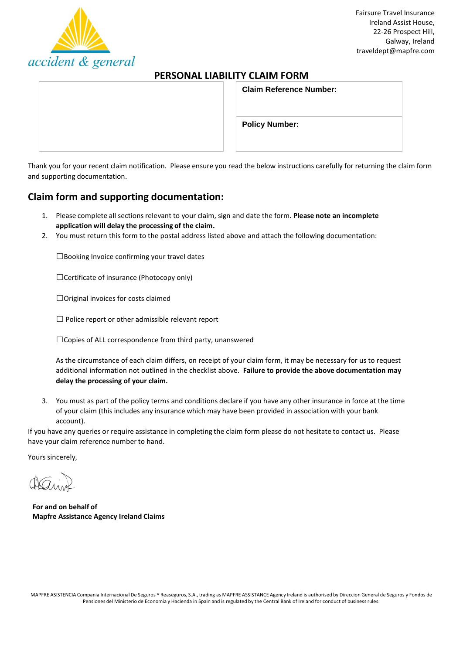

# **PERSONAL LIABILITY CLAIM FORM**

| <b>Claim Reference Number:</b> |  |
|--------------------------------|--|
| <b>Policy Number:</b>          |  |

Thank you for your recent claim notification. Please ensure you read the below instructions carefully for returning the claim form and supporting documentation.

# **Claim form and supporting documentation:**

- 1. Please complete all sections relevant to your claim, sign and date the form. Please note an incomplete **application will delay the processing of the claim.**
- 2. You must return this form to the postal address listed above and attach the following documentation:

 $\square$ Booking Invoice confirming your travel dates

☐Certificate of insurance (Photocopy only)

☐Original invoices for costs claimed

☐ Police report or other admissible relevant report

☐Copies of ALL correspondence from third party, unanswered

As the circumstance of each claim differs, on receipt of your claim form, it may be necessary for us to request additional information not outlined in the checklist above. **Failure to provide the above documentation may delay the processing of your claim.**

3. You must as part of the policy terms and conditions declare if you have any other insurance in force at the time of your claim (this includes any insurance which may have been provided in association with your bank account).

If you have any queries or require assistance in completing the claim form please do not hesitate to contact us. Please have your claim reference number to hand.

Yours sincerely,

**For and on behalf of Mapfre Assistance Agency Ireland Claims**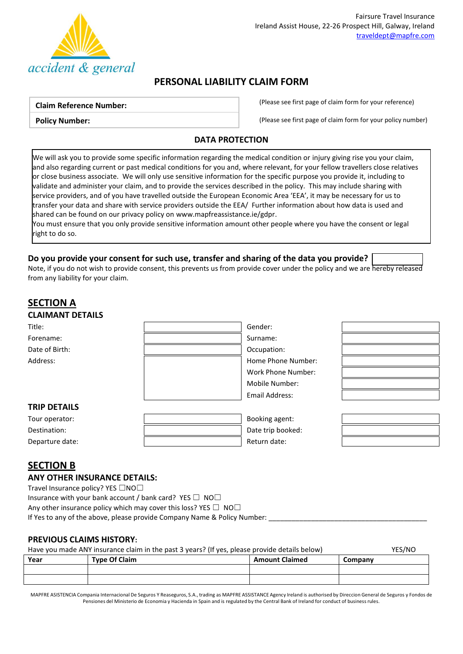

# **PERSONAL LIABILITY CLAIM FORM**

#### **Claim Reference Number:**

**Policy Number:**

(Please see first page of claim form for your reference)

(Please see first page of claim form for your policy number)

### **DATA PROTECTION**

We will ask you to provide some specific information regarding the medical condition or injury giving rise you your claim, and also regarding current or past medical conditions for you and, where relevant, for your fellow travellers close relatives or close business associate. We will only use sensitive information for the specific purpose you provide it, including to validate and administer your claim, and to provide the services described in the policy. This may include sharing with service providers, and of you have travelled outside the European Economic Area 'EEA', it may be necessary for us to transfer your data and share with service providers outside the EEA/ Further information about how data is used and shared can be found on our privacy policy o[n www.mapfreassistance.ie/gdpr.](http://www.mapfreassistance.ie/gdpr)

You must ensure that you only provide sensitive information amount other people where you have the consent or legal right to do so.

## **Do you provide your consent for such use, transfer and sharing of the data you provide?**

Note, if you do not wish to provide consent, this prevents us from provide cover under the policy and we are hereby released from any liability for your claim.

## **SECTION A CLAIMANT DETAILS**

| Title:              | Gender:               |  |
|---------------------|-----------------------|--|
| Forename:           | Surname:              |  |
| Date of Birth:      | Occupation:           |  |
| Address:            | Home Phone Number:    |  |
|                     | Work Phone Number:    |  |
|                     | Mobile Number:        |  |
|                     | <b>Email Address:</b> |  |
| <b>TRIP DETAILS</b> |                       |  |
| Tour operator:      | Booking agent:        |  |
| Destination:        | Date trip booked:     |  |
| Departure date:     | Return date:          |  |
|                     |                       |  |

# **SECTION B**

### **ANY OTHER INSURANCE DETAILS:**

Travel Insurance policy? YES □NO□

Insurance with your bank account / bank card? YES  $\Box$  NO $\Box$ 

Any other insurance policy which may cover this loss? YES  $\Box$  NO $\Box$ 

If Yes to any of the above, please provide Company Name & Policy Number:

## **PREVIOUS CLAIMS HISTORY:**

| Have you made ANY insurance claim in the past 3 years? (If yes, please provide details below) |                      |                       | YES/NO  |
|-----------------------------------------------------------------------------------------------|----------------------|-----------------------|---------|
| Year                                                                                          | <b>Type Of Claim</b> | <b>Amount Claimed</b> | Company |

MAPFRE ASISTENCIA Compania Internacional De Seguros Y Reaseguros, S.A., trading as MAPFRE ASSISTANCE Agency Ireland is authorised by Direccion General de Seguros y Fondos de Pensiones del Ministerio de Economia y Hacienda in Spain and is regulated by the Central Bank of Ireland for conduct of business rules.